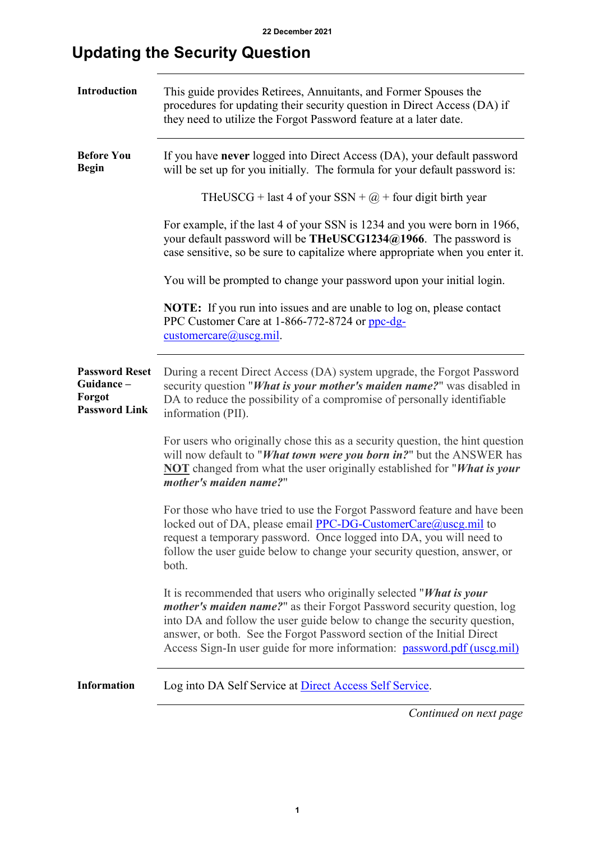## **Updating the Security Question**

| Introduction                                                         | This guide provides Retirees, Annuitants, and Former Spouses the<br>procedures for updating their security question in Direct Access (DA) if<br>they need to utilize the Forgot Password feature at a later date.                                                                                                                                                                     |  |  |  |  |  |
|----------------------------------------------------------------------|---------------------------------------------------------------------------------------------------------------------------------------------------------------------------------------------------------------------------------------------------------------------------------------------------------------------------------------------------------------------------------------|--|--|--|--|--|
| <b>Before You</b><br><b>Begin</b>                                    | If you have never logged into Direct Access (DA), your default password<br>will be set up for you initially. The formula for your default password is:                                                                                                                                                                                                                                |  |  |  |  |  |
|                                                                      | THeUSCG + last 4 of your SSN + $@$ + four digit birth year                                                                                                                                                                                                                                                                                                                            |  |  |  |  |  |
|                                                                      | For example, if the last 4 of your SSN is 1234 and you were born in 1966,<br>your default password will be THeUSCG1234@1966. The password is<br>case sensitive, so be sure to capitalize where appropriate when you enter it.                                                                                                                                                         |  |  |  |  |  |
|                                                                      | You will be prompted to change your password upon your initial login.                                                                                                                                                                                                                                                                                                                 |  |  |  |  |  |
|                                                                      | <b>NOTE:</b> If you run into issues and are unable to log on, please contact<br>PPC Customer Care at 1-866-772-8724 or ppc-dg-<br>$\text{customercare}(a) \text{uscg.mil.}$                                                                                                                                                                                                           |  |  |  |  |  |
| <b>Password Reset</b><br>Guidance-<br>Forgot<br><b>Password Link</b> | During a recent Direct Access (DA) system upgrade, the Forgot Password<br>security question "What is your mother's maiden name?" was disabled in<br>DA to reduce the possibility of a compromise of personally identifiable<br>information (PII).                                                                                                                                     |  |  |  |  |  |
|                                                                      | For users who originally chose this as a security question, the hint question<br>will now default to "What town were you born in?" but the ANSWER has<br><b>NOT</b> changed from what the user originally established for "What is your<br>mother's maiden name?"                                                                                                                     |  |  |  |  |  |
|                                                                      | For those who have tried to use the Forgot Password feature and have been<br>locked out of DA, please email PPC-DG-CustomerCare@uscg.mil to<br>request a temporary password. Once logged into DA, you will need to<br>follow the user guide below to change your security question, answer, or<br>both.                                                                               |  |  |  |  |  |
|                                                                      | It is recommended that users who originally selected "What is your<br><i>mother's maiden name?</i> " as their Forgot Password security question, log<br>into DA and follow the user guide below to change the security question,<br>answer, or both. See the Forgot Password section of the Initial Direct<br>Access Sign-In user guide for more information: password.pdf (uscg.mil) |  |  |  |  |  |
| <b>Information</b>                                                   | Log into DA Self Service at Direct Access Self Service.                                                                                                                                                                                                                                                                                                                               |  |  |  |  |  |
|                                                                      | Continued on next page                                                                                                                                                                                                                                                                                                                                                                |  |  |  |  |  |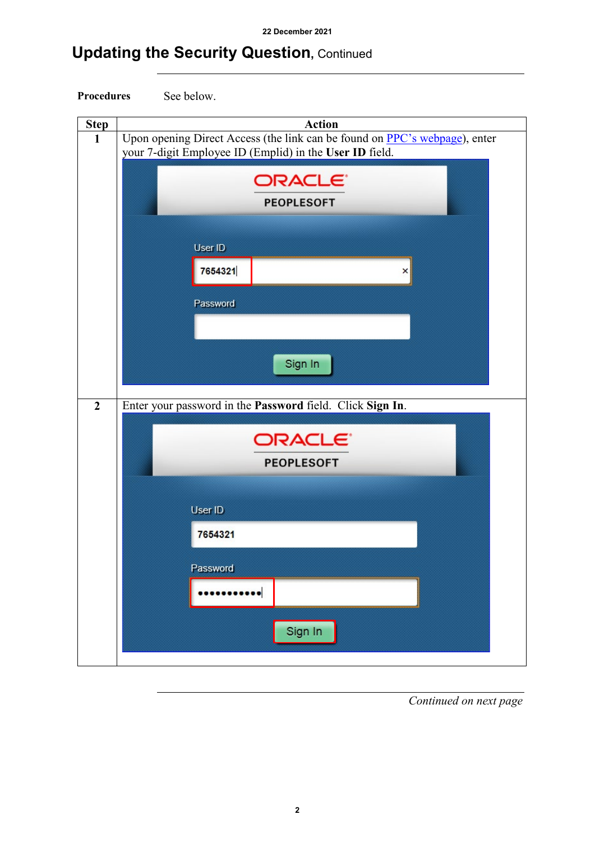# **Updating the Security Question,** Continued



| <b>Step</b>    | <b>Action</b>                                                              |  |  |  |  |  |  |  |  |
|----------------|----------------------------------------------------------------------------|--|--|--|--|--|--|--|--|
| $\mathbf{1}$   | Upon opening Direct Access (the link can be found on PPC's webpage), enter |  |  |  |  |  |  |  |  |
|                | your 7-digit Employee ID (Emplid) in the User ID field.                    |  |  |  |  |  |  |  |  |
|                |                                                                            |  |  |  |  |  |  |  |  |
|                | ORACLE <sup>®</sup>                                                        |  |  |  |  |  |  |  |  |
|                | <b>PEOPLESOFT</b>                                                          |  |  |  |  |  |  |  |  |
|                |                                                                            |  |  |  |  |  |  |  |  |
|                |                                                                            |  |  |  |  |  |  |  |  |
|                | User ID                                                                    |  |  |  |  |  |  |  |  |
|                | 7654321<br>$\vert x \vert$                                                 |  |  |  |  |  |  |  |  |
|                |                                                                            |  |  |  |  |  |  |  |  |
|                | Password                                                                   |  |  |  |  |  |  |  |  |
|                |                                                                            |  |  |  |  |  |  |  |  |
|                |                                                                            |  |  |  |  |  |  |  |  |
|                |                                                                            |  |  |  |  |  |  |  |  |
|                | Sign In                                                                    |  |  |  |  |  |  |  |  |
|                |                                                                            |  |  |  |  |  |  |  |  |
| $\overline{2}$ | Enter your password in the Password field. Click Sign In.                  |  |  |  |  |  |  |  |  |
|                |                                                                            |  |  |  |  |  |  |  |  |
|                | ORACLE <sup>®</sup>                                                        |  |  |  |  |  |  |  |  |
|                |                                                                            |  |  |  |  |  |  |  |  |
|                | <b>PEOPLESOFT</b>                                                          |  |  |  |  |  |  |  |  |
|                |                                                                            |  |  |  |  |  |  |  |  |
|                | User ID                                                                    |  |  |  |  |  |  |  |  |
|                |                                                                            |  |  |  |  |  |  |  |  |
|                | 7654321                                                                    |  |  |  |  |  |  |  |  |
|                |                                                                            |  |  |  |  |  |  |  |  |
|                | Password                                                                   |  |  |  |  |  |  |  |  |
|                |                                                                            |  |  |  |  |  |  |  |  |
|                |                                                                            |  |  |  |  |  |  |  |  |
|                | Sign In                                                                    |  |  |  |  |  |  |  |  |
|                |                                                                            |  |  |  |  |  |  |  |  |
|                |                                                                            |  |  |  |  |  |  |  |  |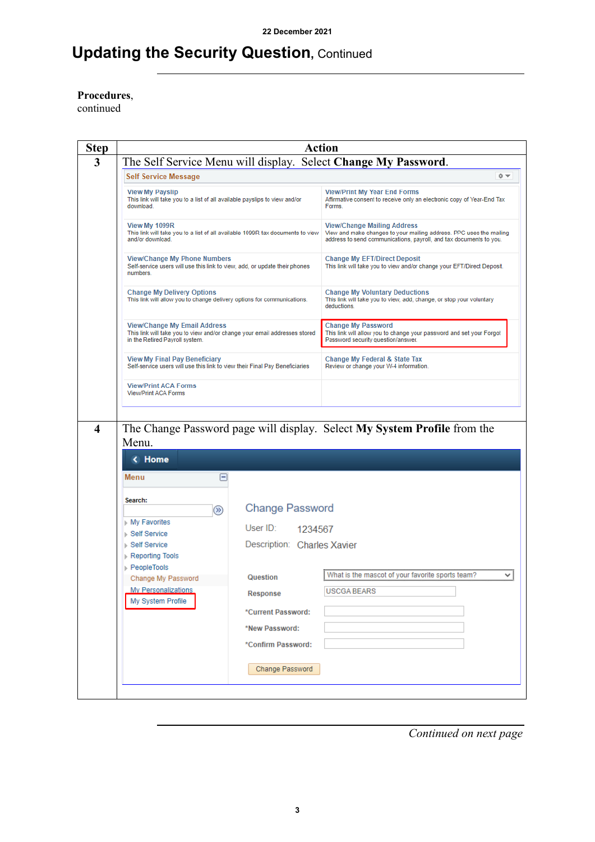### **Updating the Security Question,** Continued

**Procedures**,

continued

| <b>Step</b>             |                                                                                                                                                    | <b>Action</b>               |                                                                                                                                                                                 |  |  |  |  |  |  |
|-------------------------|----------------------------------------------------------------------------------------------------------------------------------------------------|-----------------------------|---------------------------------------------------------------------------------------------------------------------------------------------------------------------------------|--|--|--|--|--|--|
| 3                       | The Self Service Menu will display. Select Change My Password.                                                                                     |                             |                                                                                                                                                                                 |  |  |  |  |  |  |
|                         | <b>Self Service Message</b>                                                                                                                        |                             | 森木                                                                                                                                                                              |  |  |  |  |  |  |
|                         | <b>View My Payslip</b><br>This link will take you to a list of all available payslips to view and/or<br>download.                                  |                             | <b>View/Print My Year End Forms</b><br>Affirmative consent to receive only an electronic copy of Year-End Tax<br>Forms.                                                         |  |  |  |  |  |  |
|                         | View My 1099R<br>This link will take you to a list of all available 1099R tax documents to view<br>and/or download.                                |                             | <b>View/Change Mailing Address</b><br>View and make changes to your mailing address. PPC uses the mailing<br>address to send communications, payroll, and tax documents to you. |  |  |  |  |  |  |
|                         | <b>View/Change My Phone Numbers</b><br>Self-service users will use this link to view, add, or update their phones<br>numbers.                      |                             | <b>Change My EFT/Direct Deposit</b><br>This link will take you to view and/or change your EFT/Direct Deposit.                                                                   |  |  |  |  |  |  |
|                         | <b>Change My Delivery Options</b><br>This link will allow you to change delivery options for communications.                                       |                             | <b>Change My Voluntary Deductions</b><br>This link will take you to view, add, change, or stop your voluntary<br>deductions.                                                    |  |  |  |  |  |  |
|                         | <b>View/Change My Email Address</b><br>This link will take you to view and/or change your email addresses stored<br>in the Retired Payroll system. |                             | <b>Change My Password</b><br>This link will allow you to change your password and set your Forgot<br>Password security question/answer.                                         |  |  |  |  |  |  |
|                         | <b>View My Final Pay Beneficiary</b><br>Self-service users will use this link to view their Final Pay Beneficiaries                                |                             | Change My Federal & State Tax<br>Review or change your W-4 information.                                                                                                         |  |  |  |  |  |  |
|                         | <b>View/Print ACA Forms</b><br><b>View/Print ACA Forms</b>                                                                                         |                             |                                                                                                                                                                                 |  |  |  |  |  |  |
|                         |                                                                                                                                                    |                             |                                                                                                                                                                                 |  |  |  |  |  |  |
| $\overline{\mathbf{4}}$ |                                                                                                                                                    |                             | The Change Password page will display. Select My System Profile from the                                                                                                        |  |  |  |  |  |  |
|                         | Menu.                                                                                                                                              |                             |                                                                                                                                                                                 |  |  |  |  |  |  |
|                         | < Home                                                                                                                                             |                             |                                                                                                                                                                                 |  |  |  |  |  |  |
|                         | Menu<br>1-                                                                                                                                         |                             |                                                                                                                                                                                 |  |  |  |  |  |  |
|                         | Search:                                                                                                                                            | <b>Change Password</b>      |                                                                                                                                                                                 |  |  |  |  |  |  |
|                         | $\circledR$<br>▶ My Favorites                                                                                                                      |                             |                                                                                                                                                                                 |  |  |  |  |  |  |
|                         | ⊪ Self Service                                                                                                                                     | User $ID:$<br>1234567       |                                                                                                                                                                                 |  |  |  |  |  |  |
|                         | ⊪ Self Service<br>Reporting Tools                                                                                                                  | Description: Charles Xavier |                                                                                                                                                                                 |  |  |  |  |  |  |
|                         | ⊪ PeopleTools<br>Change My Password                                                                                                                | Question                    | What is the mascot of your favorite sports team?<br>v                                                                                                                           |  |  |  |  |  |  |
|                         | <b>My Personalizations</b><br>My System Profile                                                                                                    | Response                    | <b>USCGA BEARS</b>                                                                                                                                                              |  |  |  |  |  |  |
|                         |                                                                                                                                                    | *Current Password:          |                                                                                                                                                                                 |  |  |  |  |  |  |
|                         |                                                                                                                                                    |                             |                                                                                                                                                                                 |  |  |  |  |  |  |
|                         |                                                                                                                                                    | *New Password:              |                                                                                                                                                                                 |  |  |  |  |  |  |
|                         |                                                                                                                                                    | *Confirm Password:          |                                                                                                                                                                                 |  |  |  |  |  |  |
|                         |                                                                                                                                                    | Change Password             |                                                                                                                                                                                 |  |  |  |  |  |  |
|                         |                                                                                                                                                    |                             |                                                                                                                                                                                 |  |  |  |  |  |  |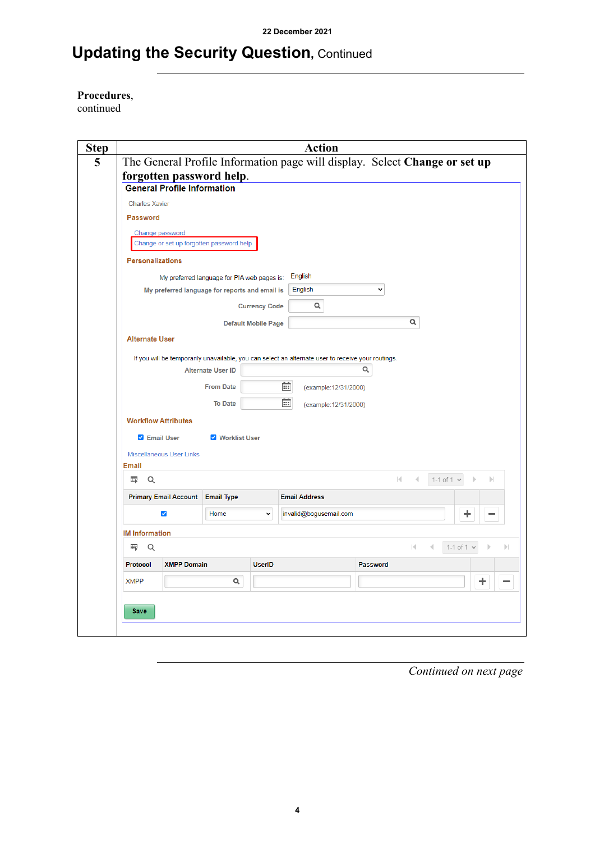### **Updating the Security Question,** Continued

**Procedures**,

continued

|                                    |                                  |                                                |                            | <b>Action</b>                                                                                      |                       |              |              |   |                   |                 |              |
|------------------------------------|----------------------------------|------------------------------------------------|----------------------------|----------------------------------------------------------------------------------------------------|-----------------------|--------------|--------------|---|-------------------|-----------------|--------------|
|                                    |                                  |                                                |                            | The General Profile Information page will display. Select Change or set up                         |                       |              |              |   |                   |                 |              |
|                                    |                                  | forgotten password help.                       |                            |                                                                                                    |                       |              |              |   |                   |                 |              |
| <b>General Profile Information</b> |                                  |                                                |                            |                                                                                                    |                       |              |              |   |                   |                 |              |
| <b>Charles Xavier</b>              |                                  |                                                |                            |                                                                                                    |                       |              |              |   |                   |                 |              |
| <b>Password</b>                    |                                  |                                                |                            |                                                                                                    |                       |              |              |   |                   |                 |              |
| Change password                    |                                  |                                                |                            |                                                                                                    |                       |              |              |   |                   |                 |              |
|                                    |                                  | Change or set up forgotten password help       |                            |                                                                                                    |                       |              |              |   |                   |                 |              |
| <b>Personalizations</b>            |                                  |                                                |                            |                                                                                                    |                       |              |              |   |                   |                 |              |
|                                    |                                  | My preferred language for PIA web pages is:    |                            | English                                                                                            |                       |              |              |   |                   |                 |              |
|                                    |                                  | My preferred language for reports and email is |                            | English                                                                                            |                       | $\checkmark$ |              |   |                   |                 |              |
|                                    |                                  |                                                | <b>Currency Code</b>       | Q                                                                                                  |                       |              |              |   |                   |                 |              |
|                                    |                                  |                                                | <b>Default Mobile Page</b> |                                                                                                    |                       |              | Q            |   |                   |                 |              |
| <b>Alternate User</b>              |                                  |                                                |                            |                                                                                                    |                       |              |              |   |                   |                 |              |
|                                    |                                  |                                                |                            |                                                                                                    |                       |              |              |   |                   |                 |              |
|                                    |                                  |                                                |                            |                                                                                                    |                       |              |              |   |                   |                 |              |
|                                    |                                  |                                                |                            | If you will be temporarily unavailable, you can select an alternate user to receive your routings. |                       |              |              |   |                   |                 |              |
|                                    |                                  | <b>Alternate User ID</b>                       |                            |                                                                                                    |                       | Q            |              |   |                   |                 |              |
|                                    |                                  | <b>From Date</b>                               |                            | 蔮                                                                                                  | (example: 12/31/2000) |              |              |   |                   |                 |              |
|                                    |                                  | <b>To Date</b>                                 |                            | 廍                                                                                                  | (example: 12/31/2000) |              |              |   |                   |                 |              |
| <b>Workflow Attributes</b>         |                                  |                                                |                            |                                                                                                    |                       |              |              |   |                   |                 |              |
| <b>Z</b> Email User                |                                  | <b>V</b> Worklist User                         |                            |                                                                                                    |                       |              |              |   |                   |                 |              |
| <b>Miscellaneous User Links</b>    |                                  |                                                |                            |                                                                                                    |                       |              |              |   |                   |                 |              |
| <b>Email</b>                       |                                  |                                                |                            |                                                                                                    |                       |              |              |   |                   |                 |              |
| Q<br>羁                             |                                  |                                                |                            |                                                                                                    |                       |              | $\mathbb{R}$ | 4 | $1-1$ of 1 $\sim$ |                 | $\mathbb{R}$ |
|                                    | Primary Email Account Email Type |                                                |                            | <b>Email Address</b>                                                                               |                       |              |              |   |                   |                 |              |
|                                    | $\blacktriangleright$            | Home                                           | $\checkmark$               | invalid@bogusemail.com                                                                             |                       |              |              |   |                   | ÷               |              |
|                                    |                                  |                                                |                            |                                                                                                    |                       |              |              |   |                   |                 |              |
| <b>IM Information</b>              |                                  |                                                |                            |                                                                                                    |                       |              |              |   |                   |                 |              |
| 野<br>Q                             |                                  |                                                |                            |                                                                                                    |                       |              |              | к |                   | 1-1 of 1 $\vee$ |              |
| Protocol                           | <b>XMPP Domain</b>               |                                                | <b>UserID</b>              |                                                                                                    |                       | Password     |              |   |                   |                 |              |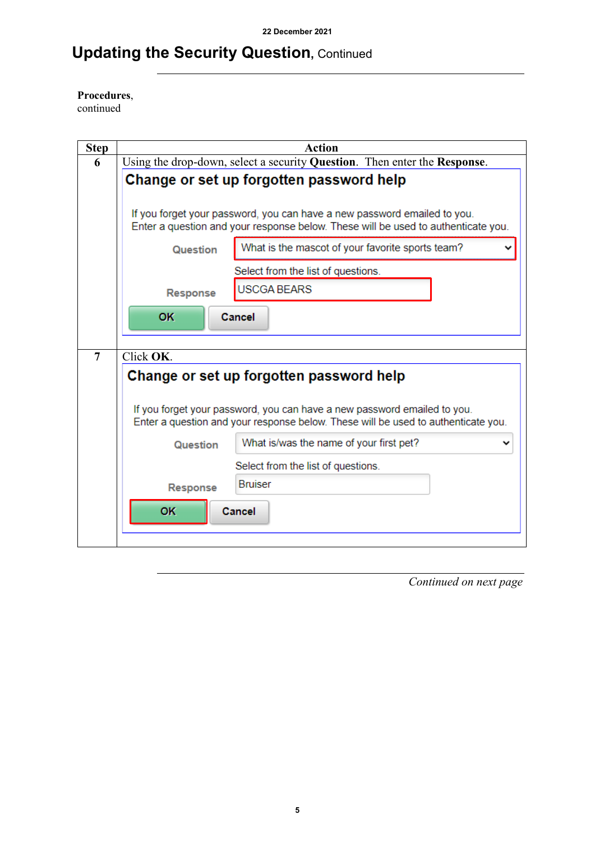### **Updating the Security Question,** Continued

### **Procedures**,

continued

| <b>Step</b>    | <b>Action</b>                                                                                                                                                 |  |  |  |  |  |  |  |
|----------------|---------------------------------------------------------------------------------------------------------------------------------------------------------------|--|--|--|--|--|--|--|
| 6              | Using the drop-down, select a security Question. Then enter the Response.                                                                                     |  |  |  |  |  |  |  |
|                | Change or set up forgotten password help                                                                                                                      |  |  |  |  |  |  |  |
|                | If you forget your password, you can have a new password emailed to you.<br>Enter a question and your response below. These will be used to authenticate you. |  |  |  |  |  |  |  |
|                | What is the mascot of your favorite sports team?<br><b>Question</b>                                                                                           |  |  |  |  |  |  |  |
|                | Select from the list of questions.                                                                                                                            |  |  |  |  |  |  |  |
|                | <b>USCGA BEARS</b><br>Response                                                                                                                                |  |  |  |  |  |  |  |
|                | OK<br>Cancel                                                                                                                                                  |  |  |  |  |  |  |  |
| $\overline{7}$ | Click OK.                                                                                                                                                     |  |  |  |  |  |  |  |
|                |                                                                                                                                                               |  |  |  |  |  |  |  |
|                | Change or set up forgotten password help                                                                                                                      |  |  |  |  |  |  |  |
|                | If you forget your password, you can have a new password emailed to you.<br>Enter a question and your response below. These will be used to authenticate you. |  |  |  |  |  |  |  |
|                | What is/was the name of your first pet?<br>Question                                                                                                           |  |  |  |  |  |  |  |
|                | Select from the list of questions.                                                                                                                            |  |  |  |  |  |  |  |
|                | <b>Bruiser</b><br>Response                                                                                                                                    |  |  |  |  |  |  |  |
|                | <b>OK</b><br>Cancel                                                                                                                                           |  |  |  |  |  |  |  |
|                |                                                                                                                                                               |  |  |  |  |  |  |  |
|                |                                                                                                                                                               |  |  |  |  |  |  |  |